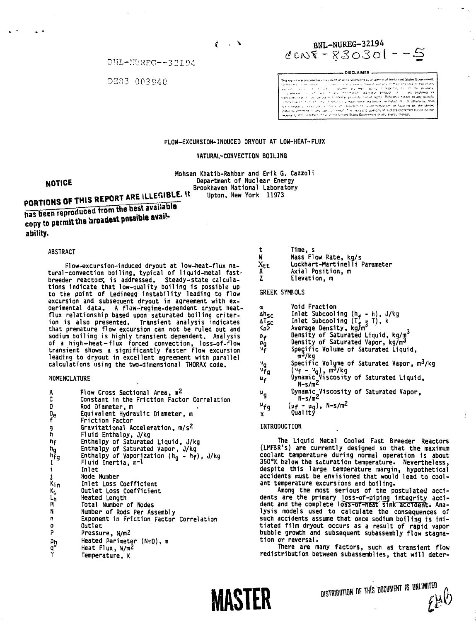$\rm BHH\text{-}NIRFC\text{-}+22192$ 

DER3 00394C



DISCLAIMER .<br>This carrier was necessary as an account of work sponsored by an agency of the United States Government This report was between the approximate wave approach by determined by the University of the methods of the methods of the methods of the methods of the methods of the methods of the methods of the methods of the methods

### FLOW-EXCURSION-INDUCED DRYQUT AT LOW-HEAT-FLUX

#### NATURAL-CONVECTION BOILING

Mohsen Khatib-Rahbar and Erik G. Cazzoli Department of Nuclear Energy Brookhaven National Laboratory

# **NOTICE**

PORTIONS OF THIS REPORT ARE ILLEGIBLE. It

has been reproduced from the best available has been reproduced from the second avail-<br>copy to permit the broadest possible avail**ability.**

#### ABSTRACT

Flow-excursion-induced dryout at low~heat-flux natural-convection boiling, typical of liquid-metal fastbreeder reactor; is addressed. Steady-state calculations indicate that low-quality boiling is possible up to the point of Ledinegg instability leading to flow excursion and subsequent dryout in agreement with experimental data. A flow-regime-dependent dryout heatflux relationship based upon saturated boiling criterion is also presented. Transient analysis indicates that premature flow excursion can not be ruled out and sodium boiling is highly transient dependent. Analysis of a high-heat-flux forced convection, loss-of-flow transient shows a significantly faster flow excursion leading to dryout in excellent agreement with parallel calculations using the two-dimensional THORAX code.

#### NOMENCLATURE

|                            | Flow Cross Sectional Area, m <sup>2</sup>                                                |
|----------------------------|------------------------------------------------------------------------------------------|
| A<br>C                     | Constant in the Friction Factor Correlation                                              |
|                            | Rod Diameter, m                                                                          |
|                            | Equivalent Hydraulic Diameter, m                                                         |
| D<br>D <sub>e</sub><br>f   | Friction Factor                                                                          |
| đ                          | Gravitational Acceleration, m/s <sup>2</sup>                                             |
| 'n                         | Fluid Enthalpy, J/kg                                                                     |
| h <sub>f</sub>             | Enthalpy of Saturated Liquid, J/kg                                                       |
| hg<br>hfg<br>i<br>i<br>kin | Enthalpy of Saturated Vapor, J/kg                                                        |
|                            | Enthalpy of Vaporization ( $\mathsf{h}_{\mathsf{g}}$ – $\mathsf{h}_{\mathsf{f}}$ ), J/kg |
|                            | Fluid Inertia, m <sup>-1</sup>                                                           |
|                            | Inlet                                                                                    |
|                            | Node Number                                                                              |
|                            | Inlet Loss Coefficient                                                                   |
| $K_G$                      | Outlet Loss Coefficient                                                                  |
| Ln                         | Heated Length                                                                            |
| и                          | Total Number of Nodes                                                                    |
| N                          | Number of Rods Per Assembly                                                              |
| n                          | Exponent in Friction Factor Correlation                                                  |
| ٥                          | Outlet                                                                                   |
| P                          | Pressure, N/m2                                                                           |
| Ρņ                         | Heated Perimeter $(N\pi D)$ , m                                                          |
| ์q"<br>T                   | Heat Flux, W/m <sup>2</sup>                                                              |
|                            | Temperature, K                                                                           |
|                            |                                                                                          |

|  | Time, |
|--|-------|
|--|-------|

- W Mass Flow Rate, kg/s<br>X<sub>tt</sub> Lockhart-Martinelli F
- Xtt Lockhart-Martinelli Parameter
- Axial Position, m<br>Elevation, m
- Z Elevation, m

- Void Fraction Δh<sub>SC</sub> Inlet Subcooling (h<sub>f</sub> - h), J/kg<br>ΔT<sub>SC</sub> Inlet Subcooling (T<sub>f =</sub> T), k ≺o<sup>5</sup> Average Density, kg/m<sup>3</sup> <p> Average Density , kg/m 3 p- Density of Saturated Liquid , kg/m  $v_{\mathsf{f}}^{\mathsf{F}}$  Speçific Volume of Saturated Liqu  $m^3/kg$ v<sub>g</sub> Specific Volume of Saturated Vapor, m<sup>3</sup>/kg<br><sup>v</sup>fg (v<sub>f</sub> – v<sub>g</sub>), m<sup>3</sup>/kg<br>u<sub>f</sub> Dynamic Viscosity of Saturated Liquid,  $\mathfrak{p}_f$  $N-S/m<sup>2</sup>$
- u<sub>g</sub> Dynamic Viscosity of Saturated Vapor,  $\mathbf{u}_{\mathbf{q}}$  $N-S/m<sup>2</sup>$
- $\mu_{fg}$ f g (uf - u <sup>g</sup> ), N-s/m2 x Quality

#### INTRODUCTION

The Liquid Metal Cooled Fast Breeder Reactors (LMFBR's) are currently designed so that the maximum coolant temperature during normal operation is about 350°K halow the saturation temperature. Nevertheless, despite this large temperature margin, hypothetical accidents must be envisioned that would lead to coolant temperature excursions and boiling.

Among the most serious of the postulated accidents are the primary loss-of-piping integrity accident and the complete loSs-of-heat sink accident. Analysis models used to calculate the consequences of such accidents assume that once sodium boiling is initiated film dryout occurs as a result of rapid vapor bubble growth and subsequent subassembly flow stagnation or reversal.

There are many factors, such as transient flow redistribution between subassemblies, that will deter-



DISTRIBUTION OF THIS DOCUMENT IS UNLIMITED

đ.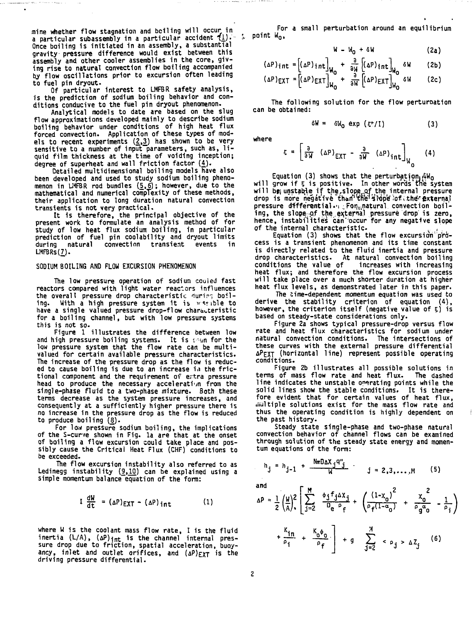**mine whether flow stagnation and boiling will occur in** a particular subassembly in a particular accident  $\{1\}$ . So point W<sub>0</sub>, a point W<sub>0</sub> **Once boiling is initiated in an assembly, a substantial gravity pressure difference would exist between this assembly and other cooler assemblies in the core, giving rise to natural convection flow boiling accompanied by flow oscillations prior to excursion often leading to fuel pin dryout.**

 $\ddot{\phantom{a}}$ 

**Of particular interest to LMFBR safety analysis, is the prediction of sodium boiling behavior and conditions conducive to the fuel pin dryout phenomenon.**

**Analytical models to date are based on the slug flow approximations developed mainly to describe sodium boiling behavior under conditions of high heat flux forced convection. Application of these types of models to recent experiments (£,3) has shown to be very** sensitive to a number of input parameters, such as, li**quid film thickness at the time of voiding inception; degree of superheat and wall friction factor (£).**

**Detailed multidimensional boiling models have also been developed and used to study sodium boiling pheno**menon in LMFBR rod bundles (<u>5,6</u>); however, due to the<br>mathematical and numerical complexity of these methods, **their application to long duration natural convection transients is not very practical.**

**It is therefore, the principal objective of the present work to formulate an analysis method of for study of low heat flux sodium boiling, in particular prediction of fuel pin cqolability and dryout limits** convection transient events **LMFBRs(7).** 

#### **SODIUM BOILING AND FLOW EXCURSION PHENOMENON**

**The low pressure operation of sodium cooled fast reactors compared with light water reactors influences** the overall pressure drop characteristic <u>đuring</u> boil**ing. With a high pressure system it is vsjible to have a single valued pressure drop-flow characteristic for a boiling channel, but with low pressure systems this is not so-**

**Figure 1 illustrates the difference between low** and high pressure boiling systems. It is seen for the **low pressure system that the flow rate can be multivalued for certain available pressure characteristics. The increase of the pressure drop as the flow is reduc**ed to cause boiling is due to an increase in the frictional component and the requirement of extra pressure **head to produce the necessary acceleration from the single-phase fluid to a two-phase mixture. Both these terms decrease as the system pressure increases, and consequently at a sufficiently higher pressure there is no increase in the pressure drop as the flow is reduced to produce boiling (8).**

**For low pressure sodium boiling, the implications of the S-cur/e shown in Fig. la are that at the onset of boiling a flow excursion could take place and possibly cause the Critical Heat Flux (CHF) conditions to be exceeded.**

**The flow excursion instability also referred to as** Ledinegg instability (9,10) can be explained using a **simple momentum balance equation of the form:**

$$
I \frac{dW}{dt} = (\Delta P)_{EXT} - (\Delta P)_{int}
$$
 (1)

where W is the coolant mass flow rate, I is the fluid inertia (L/A), (aP)<sub>int</sub> is the channel internal pressure drop due to friction, spatial acceleration, buoyancy, inlet and outlet orifices, and  $(\Delta P)_{\text{EXT}}$  is the driving pressure differential.

For a small perturbation around an equilibrium

$$
W - W_0 + \delta W \qquad (2a)
$$

$$
(\Delta P)_{int} = [(\Delta P)_{int}]_{W_0} + \frac{3}{a_W} [(\Delta P)_{int}]_{W_0}^{6W} = (2b)
$$
\n
$$
(\Delta P)_{cur} = [(\Delta P)_{cur}] - \frac{3}{a_W} [(\Delta P)_{cur}] - \frac{3}{a_W} [(\Delta P)_{cur}]
$$
\n(2c)

 $(\Delta P)$ **EXT** =  $[(\Delta P)$ **EXT** $]_{W_Q}$  +  $\overline{W}$   $[(\Delta P)$ **EXT** $]_{W_Q}$ **(2c)**

The following solution for the flow perturoation can be obtained:

$$
\delta W = \delta W_0 \exp(\xi^*/I) \tag{3}
$$

where

the company's company's company's

$$
\varepsilon = \left[\frac{a}{a}\left(\Delta P\right)_{\text{EXT}} - \frac{a}{aW}\left(\Delta P\right)_{\text{int}}\right]_{W_0} \tag{4}
$$

Equation (3) shows that the perturbation. $\hat{\mathsf{A}}$ W<sub>O</sub> will grow if **5** is positive. In other words the system will be unstable if the,slope of the internal pressure<br>drop is more negative than the slope of the external pressure differential.  $\cdot$  Formatural convection boiling, the slope-of the,external pressure drop is zero, hence, instabilities can'occur for any negative slope of the internal characteristic.

Equation (3) shows that the flow excursion process is a transient phenomenon and its time constant is directly related to the fluid inertia and pressure drop characteristics. At natural convection boiling<br>conditions the value of increases with increasing increases with increasing heat flux; and therefore the flow excursion process will take place over a much shorter duration at higher heat flux levels, as demonstrated later in this paper.

The time-dependent momentum equation was used to derive the stability criterion of equation (4), however, the criterion itself (negative value of 5) is based on steady-state considerations only.

Figure 2a shows typical pressure-drop versus flow rate and heat flux characteristics for sodium under natural convection conditions. The intersections of these curves with the external pressure differential APEXT (horizontal line) represent possible operating conditions.

Figure 2b illustrates all possible solutions in terms of mass flow rate and heat flux. The dashed line indicates the unstable operating points while the solid lines show the stable conditions. It is therefore evident that for certain values of heat flux, multiple solutions exist for the mass flow rate and thus the operating condition is highly dependent on the past history.

Steady state single-phase and two-phase natural convection behavior of channel flows can be examined through solution of the steady state energy and momentum equations of the form:

$$
h_{j} = h_{j-1} + \frac{N\pi D \Delta X_{j} q^{n}}{M} \qquad j = 2,3,...,M
$$
 (5)

and

$$
\Delta P = \frac{1}{2} \left( \frac{W}{A} \right)^2 \left[ \sum_{j=2}^{M} \frac{\phi_j f_j \Delta X_j}{D_e P_f} + \left( \frac{(1 - x_0)^2}{P_f (1 - \alpha_0)} + \frac{x_0^2}{P_g \alpha_0} - \frac{1}{P_i} \right) + \frac{K_{1n}}{P_f} + \frac{K_0 \phi_0}{P_f} \right] + g \sum_{j=2}^{M} \langle \rho_j \rangle \Delta Z_j \qquad (6)
$$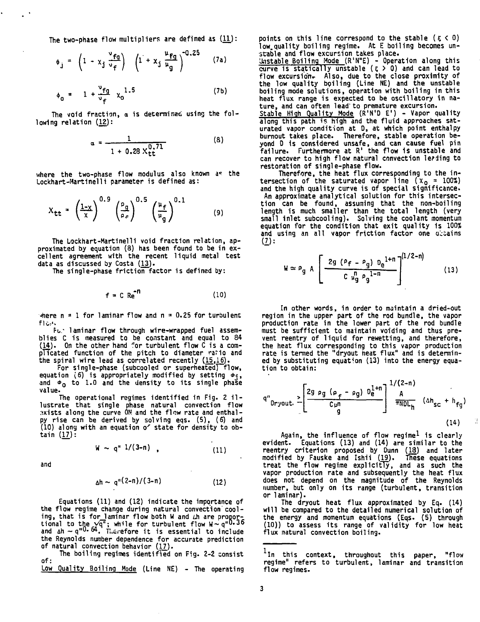The two-phase flow multipliers are defined as  $(11)$ :

$$
\phi_j = \left(1 - x_j \frac{v_{fg}}{v_f}\right) \left(1 + x_j \frac{u_{fg}}{u_g}\right)^{-0.25} \qquad (7a)
$$

$$
\phi_0 = 1 + \frac{v_{fg}}{v_f} x_0^{1.5}
$$
 (7b)

The void fraction, a is determined using the following relation (12):

$$
\alpha = \frac{1}{1 + 0.28 \times \frac{0.71}{\text{tt}}}
$$
 (8)

where the two-phase flow modulus also known as the Lockhart-Martinelli parameter is defined as:

$$
X_{tt} = \left(\frac{1-x}{x}\right)^{0.9} \left(\frac{P_g}{\rho_r}\right)^{0.5} \left(\frac{u_f}{u_g}\right)^{0.1} \tag{9}
$$

The Lockhart-Martinelli void fraction relation, approximated by equation (8) has been found to be in excellent agreement with the recent liquid metal test data as discussed by Costa (13).

The single-phase friction factor is defined by:

$$
f = C \text{ Re}^{-1}
$$
 (10)

 $\frac{1}{2}$  +  $\frac{1}{2}$  for laminar flow and n = 0.25 for turbulent flc\*'.

Fu.' laminar flow through wire-wrapped fuel assemblies C is measured to be constant and equal to 84  $(14)$ . On the other hand for turbulent flow C is a complicated function of the pitch to diameter ratio and the spiral wire lead as correlated recently  $(15,16)$ .

For single-phase (subcooled or superheated) flow, equation (6) is appropriately modified by setting  $\phi_i$ , and  $\phi_0$  to 1.0 and the density to its single phase value.

The operational regimes identified in Fig. 2 il lustrate that single phase natural convection flow axists along the curve ON and the flow rate and enthalpy rise can be derived by solving eqs. (5), (6) and (10) along with an equation o' state for density to obtain (17):

> $W \sim q^* 1/(3-n)$ . (11)

and

$$
\Delta h \sim q^{n(2-n)/(3-n)}
$$
 (12)

(12)

Equations (11) and (12) indicate the importance of the flow regime change during natural convection'cooling, that is for laminar flow both W and *L*h are propor-<br>tional to t<u>he vq"; while for turbulent flow W~q"<sup>0.36</sup></u> and  $\Delta h \sim q^{nQ}$ .  $\theta A$ . Therefore it is essential to include the Reynolds number dependence for accurate prediction of natural convection behavior (17.).

The boiling regimes identified on Fig. 2-2 consist of:

Low Quality Boiling Mode (Line NE) - The operating

points on this line correspond to the stable  $(5 < 0)$ low.quality boiling regime. At E boiling becomes unstable and flow excursion takes place.

Unstable Boiling Mode (R'N"E) - Operation along this curve is statically unstable  $(5 \gt 0)$  and can lead to flow excursion. Also, due to the close proximity of the low quality boiling (Line NE) and the unstable boiling mode solutions, operation with boiling in this heat flux range is expected to be oscillatory in nature, and can often lead'to premature excursion.

Stable High Quality Mode (R'N'D E<sup>1</sup> ) - Vapor quality along this path is high and the fluid approaches saturated vapor condition at 0, at which point enthalpy burnout takes place. Therefore, stable operation beyond D Is considered unsafe, and can cause fuel pin failure. Furthermore at R' the flow 1s unstable and can recover to high flow natural convection leading to restoration of single-phase flow.

Therefore, the heat flux corresponding to the intersection of the saturated vapor line ( $\mathsf{x}_\mathbf{0}$  = 100%) and the high quality curve is of special significance. An approximate analytical solution for this intersection can be found, assuming that the non-boiling length is much smaller than the total length (very small Inlet subcooiing). Solving the coolant momentum equation for the condition that exit quality is 100% and using an all vapor friction factor one dicains **(1):**

$$
W \approx \rho_g A \left[ \frac{2g (\rho_f - \rho_g) D_e^{1+n}}{C \mu_g^n \rho_g^{1-n}} \right]^{(1/2-n)} \tag{13}
$$

**In other words, in order to maintain a dried-out region in the upper part of the rod bundle, the vapor production rate in the lower part of the rod bundle must be sufficient to maintain voiding and thus prevent reentry of liquid for rewetting, and therefore, the heat flux corresponding to this vapor production rate is termed the "dryout heat flux" and is determined by substituting equation (13) into the energy equation to obtain:**

$$
q^{m} \text{bryout.} \geq \left[ \frac{2g \rho g (p_{f} - \rho g) D_{e}^{1+n}}{C_{\mu n}} \right] \frac{1/(2-n)}{\pi N D L_{h}} \quad (\Delta h_{SC} + h_{fg})
$$
\n(14)

З

Again, the influence of flow regime<sup>l</sup> is clearly **evident. Equations (13) and (14) are similar to the reentry criterion proposed by Dunn (18) and later modified by Fauske and Ishii (19). fHise equations treat the flow regime explicitly, and as such the vapor production rate and subsequently the heat flux does not depend on the magnitude of the Reynolds number, but only on its range (turbulent, transition or laminar).**

**The dryout heat flux approximated by Eq. (14) will be compared to the detailed numerical solution of the energy and momentum equations (Eqs. (5) through (10)) to assess its range of validity for low heat flux natural convection boiling.**

In this context, throughout this paper, "flow regime" refers to turbulent, laminar and transition flow regimes.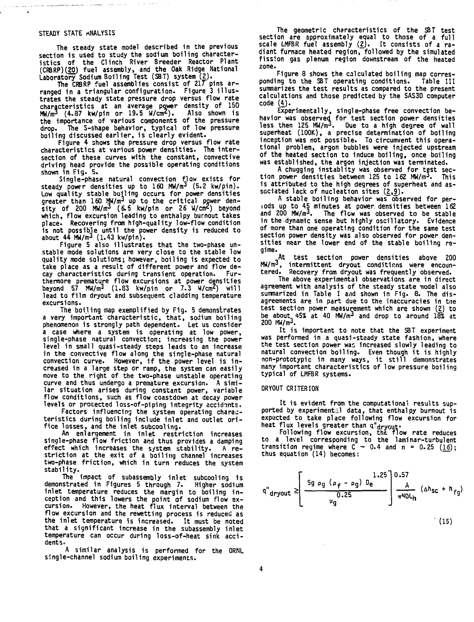#### STEADY STATE ANALYSIS

.<br>1964 - Alexandro Harrison, amerikansk politik (\* 1882)

**The steady state model described in the previous section is used to study the sodium boiling characteristics of the Clinch River Breeder Reactor Plant (CRBRP)(ZO) fuel assembly, and the Oak Ridge National Laboratory Sodium Boiling Test (SBT) system (2).**

**The CRBRP fuel assemblies consist of 217 pins arranged in a triangular configuration- Figure 3 illustrates the steady state pressure drop versus flow rate characteristics at an average power density of 150 MW/m3 (4.87 kw/pin or 19.5 W/cm<sup>2</sup> ). Also shown is the importance of various components of the pressure drop. The S-shape behavior, typical of low pressure boiling discussed earlier, is clearly evident.**

**Figure 4 shows the pressure drop versus flow rate characteristics at various power densities. The intersection of these curves with the constant, convective driving head provide the possible operating conditions shown in Fig. 5.**

**Single-phase natural convection flow exists for steady power densities up to 160 MW/m<sup>3</sup> (5.2 kw/pin). Low quality stable boiling occurs for power densities greater than 160 MW/m<sup>3</sup> up to the critical power density of 200 MW/m<sup>3</sup> (6.5 kw/pin or 26 W/cm<sup>2</sup>) beyond which, flow excursion leading to enthalpy burnout takes place. Recovering from high-quality low-flow condition is not possible until the power density is reduced to about 44 MW/m<sup>3</sup> (1.43 kw/pin).**

**Figure 5 also illustrates that the two-phase unstable mode solutions are very close to the stable low quality mode solutions; however, boiling is expected to take place as a result of different power and flow de**cay characteristics during transient operation. **thermore premature flow excursions at power densities beyond 57 MW/m<sup>3</sup> (1.83 kw/pin or 7.3 W/cm<sup>2</sup>) will lead to film dryout and subsequent cladding temperature excursions.**

**The boiling map exemplified by Fig. 5 demonstrates a very important characteristic, that, sodium boiling phenomenon is strongly path dependent. Let us consider a case where a system is operating at low power, single-phase natural convection; increasing the power level in small quasi-steady steps leads to an increase in the convective flow along the single-phase natural convection curve. However, if the power level is increased in a large step or ramp, the system can easily move to the right of the two-phase unstable operating curve and thus undergo a premature excursion. A similar situation arises during constant power, variable flow conditions, such as flow coastdown at decay power levels or protected loss-of-piping integrity accidents.**

**Factors influencing the system operating characteristics during boiling include inlet and outlet orifice losses, and the inlet subcooling.**

**An enlargement in inlet restriction increases single-phase flow friction and thus provides a damping effect which increases the system stability. A restriction at the exit of a boiling channel increases two-phase friction, which in turn reduces the system stability.**

**The impact of subassembly inlet subcooling is demonstrated in Figures 5 through 7. Higher sodium inlet temperature reduces the margin to boiling inception and this lowers the point of sodium flow excursion. However, the heat flux interval between the flow excursion and the rewetting process is reduced as the inlet temperature is increased. It must be noted that a significant increase in the subassembly inlet temperature can occur during loss-of-heat sink accidents.**

**A similar analysis is performed for the ORNL single-channel sodium boiling experiments.**

**The geometric characteristics of the SBT test section are approximately equal to those of a full scale LMFBR fuel assembly (2J. It consists of a radiant furnace heated region, followed by the simulated fission gas plenum region downstream of the heated zone.**

**Figure 8 shows the calculated boiling map corresponding to the SBT operating conditions. Table III summarizes the test results as compared to the present calculations and those predicted by the SAS3D computer code (4).**

**Experimentally, single-phase free convection behavior was observed for test section power densities less then 125 MW/m<sup>3</sup>. Due to a high degree of wall superheat (100K), a precise determination of boiling** superheat (100K), a precise determination of boiling inception was not possible. To circumvent this opera**tional problem, argon bubbles were injected upstream of the heated section to induce boiling, once boiling was established, the argon injection was terminated.**

**A chugging instablity was observed for test sec-tion power densities between 125 to 162 MW/m<sup>3</sup>. This is attributed to the high degrees of superheat and as**sociated lack of nucleation sites (2,9).

**A stable boiling behavior was observed for periods up to 45 minutes at power, densities between 162 and 200 MW/m<sup>3</sup>. The flow was observed to be stable in the dynamic sense but highly oscillatory. Evidence of more than one operating condition for the same test section power density was also observed for power densities near the lower end of the stable boiling regime.**

**At test section power densities above 200 MW/m<sup>3</sup>, intermittent dryout conditions were encountered. Recovery from dryout was frequently observed.**

**The above experimental observations are in direct agreement with analysis of the steady state nodel also summarized in Table I aiid shown in Fig. 8. The disagreements are in part due to the inaccuracies in the test section power measurement which are shown (2) to be about 45% at 40 MW/m<sup>3</sup> and drop to around 18% at 200 MW/m<sup>3</sup>.**

**It is important to note that the SBT experiment was performed in a quasi-steady state fashion, where the test section power was increased slowly leading to natural convection boiling. Even though it is highly non-prototypic in many ways, it still demonstrates many important characteristics of low pressure boiling typical of LMFBR systems.**

### **DRYOUT CRITERION**

It is evident from the computational results sup**ported by experimental data, that enthalpy burnout is expected to take place following flow excursion for heat flux levels greater than q'^ryout\***

**Following flow excursion, the. flow rate reduces to a level corresponding to the laminar-turbulent transition regime where C - 0.4 and n = 0.25 (16); thus equation (14) becomes:**

$$
q^{n}_{\text{dryout}} \geq \left[ \frac{5g \rho_{g} (\rho_{f} - \rho_{g}) D_{e}}{D_{e} 25} \right] \frac{1.25}{\pi N D L_{h}} ( \Delta h_{SC} + h_{fg} )
$$

**(15)**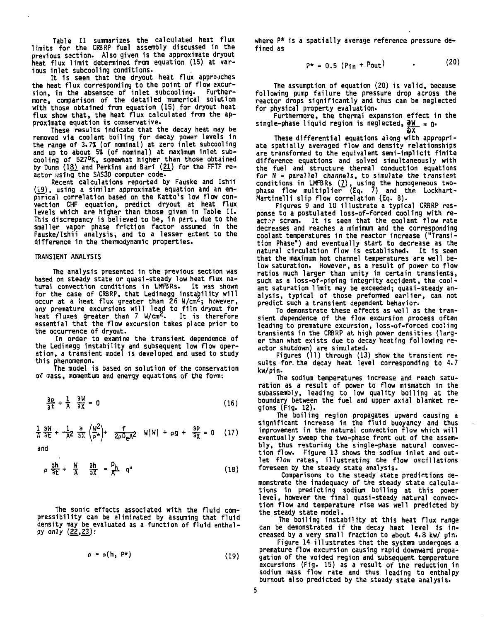**Table II summarizes the calculated heat flux limits for the CRBRP fuel assembly discussed in the previous section. Also given is the approximate dryout heat flux limit determined from equation (15) at various inlet subcooling conditions.**

**It is seen that the dryout heat flux approaches the heat flux corresponding to the point of flow excursion, in the absensce of inlet subcooling. Furthermore, comparison of the detailed numerical solution with those obtained from equation (15) for dryout heat flux show that, the heat flux calculated from the approximate equation is conservative.**

**These results indicate that the decay heat nay be removed via coolant boiling for decay power levels in the range of 3.7% (of nominal) at zero inlet subcooling and up to about 5% (of nominal) at maximum inlet subcooling of 5Z7°K, somewhat higher than those obtained by Dunn (13). and Perkins and Bari (21.) for the FFTF reactor using the SAS30 computer code.**

**Recent calculations reported by Fauske and Ishii (19), using a similar approximate equation and an empirical correlation based on the Katto's low flow convection CHF equation, predict dryout at heat flux levels which are higher than those given in Table II. This discrepancy is believed to be, in pert, due to the smaller vapor phase friction factor assumed in the Fauske/Ishii analysis, and to a lesser extent to the difference in the thermodynamic properties.**

#### **TRANSIENT ANALYSIS**

**The analysis presented in the previous section was based on steady state or quasi-steady low heat flux natural convection conditions in LHFBRs. It was shown for the case of CRBRP, that Ledinegg instability will occur at a heat flux greater than 26 W/cm'; however, any premature excursions will lead to film dryout for heat fluxes greater than 7 W/cm'. It is therefore essential that the flow excursion takes place prior to the occurrence of dryout.**

**In order to examine the transient dependence of the Ledinegg instability and subsequent low flow operation, a transient model is developed and used to study this phenomenon.**

**The model is based on solution of the conservation of mass, momentum and energy equations of the form:**

$$
\frac{\partial \rho}{\partial t} + \frac{1}{A} \frac{\partial W}{\partial X} = 0
$$
 (16)

$$
\frac{1}{A}\frac{\partial W}{\partial t} + \frac{1}{A^2}\frac{\partial}{\partial X}\left(\frac{W^2}{\rho^*}\right) + \frac{f}{2\rho D_e A^2} \quad W|W| + \rho g + \frac{\partial P}{\partial X} = 0 \quad (17)
$$

**and**

$$
\rho \frac{\partial h}{\partial t} + \frac{W}{A} \frac{\partial h}{\partial X} = \frac{P_h}{A} q^u
$$
 (18)

**The sonic effects associated with the fluid compressibility can be eliminated by assuming that fluid density may be evaluated as a function of fluid enthalpy only (22,23):**

 $\rho = \rho(h, P^*)$  (19)

where P\* is a spatially average reference pressure defined as

 $P^* = 0.5$  (Pin + Pout) • (20

The assumption of equation (20) is valid, because following pump failure the pressure drop across the reactor drops significantly and thus can be neglected for physical property evaluation.

Furthermore, the thermal expansion effect in the single-phase liquid region is neglected,  $\frac{\partial W}{\partial x} = 0$ . **Sx~**

These differential equations along with appropriate spatially averaged flow and density relationships are transformed to the equivalent sem1-implic1t finite difference equations and solved simultaneously with the fuel and structure thermal conduction equations for N - parallel channels, to simulate the transient conditions in LMFBRs  $(7)$ , using the homogeneous twophase flow multiplier" (Eq. 7) and the Lockhart-Martinelli slip flow correlation (Eq. 8).

Figures 9 and 10 illustrate a typical CRBRP response to a postulated loss-of-forced cooling with re- $\arctan$  scram. It is seen that the coolant flow rate decreases and reaches a minimum and the corresponding coolant temperatures in the reactor increase ("Transition Phase") and eventually start to decrease as the natural circulation flow is established. It is seen that the maximum hot channel temperatures are well below saturation. However, as a result of power to flow ratios much larger than unity in certain transients, such as a loss-of-piping integrity accident, the coolant saturation limit may be exceeded; quasi-steady analysis, typical of those preformed earlier, can not predict such a transient dependent behavior.

To demonstrate these effects as well as the transient dependence of the flow excursion process often leading to premature excursion, loss-of-forced cooling transients in the CRBRP at high power densities (larger than what exists due to decay heating following reactor shutdown) are simulated.

Figures (11) through (13) show the transient results for. the decay heat level corresponding to 4.7 kw/pin.

The sodium temperatures increase and reach saturation as a result of power to flow mismatch in the subassembly, leading to low quality boiling at the boundary between the fuel and upper axial blanket regions (Fig. 12).

The boiling region propagates upward causing a significant increase in the fluid buoyancy and thus improvement in the natural convection flow which will eventually sweep the two-phase front out of the assembly, thus restoring the single-phase natural convection flow. Figure 13 shows the sodium inlet and outlet flow rates, illustrating the flow oscillations foreseen by the steady state analysis.

Comparisons to the steady state predictions demonstrate the inadequacy of the steady state calculations in predicting sodium boiling at this power level, however the final quasi-steady natural convection flow and temperature rise was well predicted by the steady state model.

The boiling instability at this heat flux range can be demonstrated if the decay heat level is increased by a very small fraction to about 4.8 kw/ pin.

Figure 14 illustrates that the system undergoes a premature flow excursion causing rapid downward propagation of the voided region and subsequent temperature excursions (Fig. 15) as a result of tho reduction in sodium mass flow rate and thus leading to enthalpy burnout also predicted by the steady state analysis.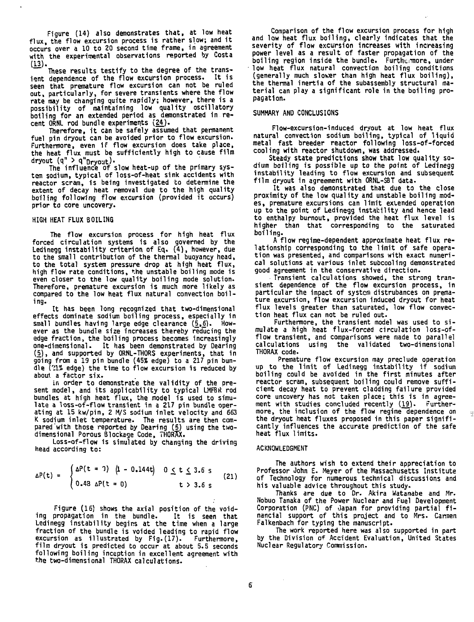**Figure (14) also demonstrates that, at low heat flux, the flow excursion process is rather slow; and it occurs over a 10 to 20 second time frame, in agreement with the experimental observations reported by Costa (13).**

**These results testify to the degree of the transient dependence of the flow excursion process. It is seen that premature flow excursion can not be ruled out, particularly, for severe transients where the flow rate may be changing quite rapidly; however, there is a possibility of maintaining low quality oscillatory boiling for an extended period as demonstrated in recent ORNL rod bundle experiments (24J.**

**Therefore, it can be safely assumed that permanent fuel pin dryout can be avoided prior to flow excursion. Furthermore, even 1f flow excursion does take place, the heat flux must be sufficiently high to cause film**  $\frac{d}{dx}$  (q" > q" $\frac{d}{dx}$ ).

The influence of slow heat-up of the primary system sodium, typical of loss-of-heat sink accidents with reactor scram, is being investigated to determine the extent of decay heat removal due to the high quality boiling following flow excursion (provided it occurs) prior to core uncovery.

#### HIGH HEAT FLUX BOILING

The flow excursion process for high heat flux forced circulation systems is also governed by the Ledinegg instability criterion of Eq. (4), however, due to the small contribution of the thermal buoyancy head, to the total system pressure drop at high heat flux, high flow rate conditions, the unstable boiling mode is even closer to the low quality boiling mode solution. Therefore, premature excursion is much more likely as compared to the low heat flux natural convection boiling.

It has been long recognized that two-dimensional effects dominate sodium boiling process, especially in small bundles having large edge clearance  $(5,6)$ . However as the bundle size increases thereby reducing the edge fraction, the boiling process becomes increasingly one-dimensional. It has been demonstrated by Dearing (5), and supported by ORNL-THORS experiments, that in going from a 19 pin bundle (45\$ edge) to a 217 pin bundle C!l% edge) the time to flow excursion is reduced by about, a factor six.

in order to demonstrate the validity of the present model, and its applicability to typical LMFBR rod bundles at high heat flux, the model is used to simulate a loss-of-flow transient in a 217 pin bundle operating at 15 kw/pin, 2 M/S sodium inlet velocity and 663 K sodium inlet temperature. The results are then compared "with those reported by Dearing (5) using the twodimensional Porous Blockage Code, THORAX.

Loss-of-flow is simulated by changing the driving head according to:

$$
\Delta P(t) = \begin{cases} \Delta P(t = 1) & (1 - 0.144t) & 0 \le t \le 3.6 \text{ s} \\ 0.48 & \Delta P(t = 0) & t > 3.6 \text{ s} \end{cases}
$$
 (21)

Figure (16) shows the axial position of the voiding propagation in the bundle. It is seen that Ledinegg instability begins at the time when a large fraction of the bundle is voided leading to rapid flow excursion as illustrated by Fig.(17). Furthermore, film dryout is predicted to occur at about 5.5 seconds following boiling inception in excellent agreement with the two-dimensional THORAX calculations.

Comparison of the flow excursion process for high and low heat flux boiling, clearly indicates that the severity of flow excursion increases with increasing power level as a result of faster propagation of the boiling region inside the bundle. Furthermore, under low heat flux natural convection boiling conditions (generally much slower than high heat flux boiling), the thermal inertia of the subassembly structural material can play a significant role in the boiling propagation.

## SUMMARY AND CONCLUSIONS

Flow-excursion-induced dryout at low heat flux natural convection sodium boiling, typical of liquid metal fast breeder reactor following loss-of-forced cooling with reactor shutdown, was addressed.

Steady state predictions show that low quality sodium boiling is possible up to the point of Ledinegg instability leading to flow excursion and subsequent film dryout in agreement with ORNL-SBT data.

It was also demonstrated that due to the close proximity of the low quality and unstable boiling modes. premature excursions can limit extended operation up to the point of Ledinegg instability and hence lead to enthalpy burnout, provided the heat flux level is higher than that corresponding to the saturated boiling.

A flow regime-dependent approximate heat flux relationship corresponding to the limit of safe operation was presented, and comparisons with exact numerical solutions at various inlet subcooling demonstrated good agreement in the conservative direction.

Transient calculations showed, the strong transient dependence of the flow excursion process, in particular the impact of system distrubances on premature excursion, flow excursion induced dryout for heat flux levels greater than saturated, low flow convection heat flux can not be ruled out.

Furthermore, the transient model was used to simulate a high heat flux-forced circulation loss-offlow transient, and comparisons were made to parallel calculations using the validated two-dimensional THORAX code.

Premature flow excursion may preclude operation up to the limit of Ledinegg instability if sodium boiling could be avoided in the first minutes after reactor scram, subsequent boiling could remove sufficient decay heat to prevent cladding failure provided core uncovery has not taken place; this is in agreement with studies concluded recently  $(19)$ . Furthermore, the inclusion of the flow regime dependence on the dryout heat fluxes proposed in this paper significantly influences the accurate prediction of the safe heat flux limits.

#### ACKNOWLEDGMENT

The authors wish to extend their appreciation to Professor John E. Meyer of the Massachusetts Institute of Technology for numerous technical discussions and his valuable advice throughout this study.

Thanks are due to Dr. Akira Watanabe and Mr. Nobuo Tanaka of the Power Nuclear and Fuel Development Corporation (PNC) of Japan for providing partial financial support of this project and to Mrs. Carmen Falkenbach for typing the manuscript.

The work reported here was also supported in part by the Division of Accident Evaluation, United States Nuclear Regulatory Commission.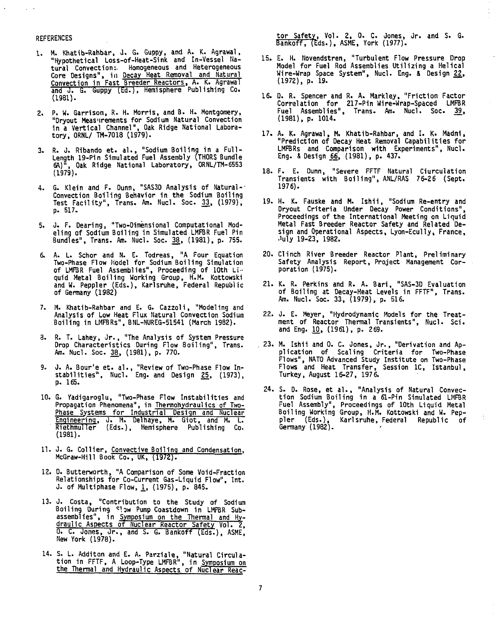#### **REFERENCES**

- 1. M. Khatib-Rahbar, 0. G. Guppy, and k. K. Agrawal, "Hypothetical Loss-of-Heat-Sink and In-Vessel Natural Convection: Homogeneous and Heterogeneous Core Designs", in Decay Heat Removal and Natural Convection in Fast Breeder Reactors, A. K. Agrawal and J. G. Guppy (Ed.). Hemisphere Publishing Co. (1981).
- 2. P. W. Garrison, R. H. Morris, and B. H. Montgomery, "Dryout Measnrements for Sodium Natural Convection in a Vertical Channel", Oak Ridge National Laboratory, ORNL/ TH-7018 (1S79).
- 3. R. J. Ribando et. al. , "Sodium Boiling in a **Full** Length 19-Pin Simulated Fuel Assembly (THORS Bundle 6A)", Oak Ridge National Laboratory, ORNL/TM-6553  $(1979)$ .
- 4. G. Klein and F. Dunn, "SAS3D Analysis of Natural--Convection Boiling Behavior in the Sodium Boiling Test Facility", Trans. Am. Nucl. Soc. 33, (1979), p. 517.
- 5. J. F. Dearing, "Two-Dimensional Computational Modeling Of Sodium Boiling in Simulated LMFBR Fuel Pin Bundles", Trans. Am. Nucl. Soc. 38, (1981), p. 755.
- 6. A. L. Schor and N. E. Todreas, "A Four Equation Two-Phase Flow Model for Sodium Boiling Simulation of LMFBR Fuel Assemblies", Proceeding of 10th Liquid Metal Boiling Working Group, H.M. Kottowski and W. Peppier (Eds.), Karlsruhe, Federal Republic of Germany (1982)
- 7. M. Khatib-Rahbar and E. G. Cazzoli, "Modeling and Analysis of Low Heat Flux Natural Convection Sodium Boiling in LMFBRs", BNL-NUREG-51541 (March 1982).
- 3. R. T. Lahey, Jr. , "The Analysis of System Pressure Drop Characteristics During Flow Boiling", Trans. Am. Nucl. Soc. 38, (1981), p. 770.
- 9. J. A. Bour'e et. al., "Review of Two-Phase Flow Instabilities", Nucl. Eng. and Design 25, (1973), p. 165.
- 10. G. Yadigaroglu, "Two-Phase Flow Instabilities and Propagation Phenomena", in Thermohydraulics of Two-Phase Systems for Industrial Design and Nuclear Engineering, J. M. Delhaye, M. Giot, and M. L. Riethmuller (Eds.), Hemisphere Publishing Co. (1981).
- 11. J. G. Collier, Convective Boiling and Condensation. McGraw-Hill Book Co., UK, (1972).
- 12. D. Butterworth, "A Comparison of Some Void-Fraction Relationships for Co-Current Gas-Liquid Flow", Int. J. of Multiphase Flow,  $1$ , (1975), p. 845.
- 13. 0. Costa, "Contribution to the Study of Sodium Boiling During Slaw Pump Coastdown in LMFBR Subassemblies", in Symposium on the Thermal and Hydraulic Aspects of Nuclear Reactor Safety Vol. 2. 0. C. Jones, dr. , and S. G. Bankoff (Eds.), ASME, New York (1978).
- 14. S. L. Additon and E. A. Parziale, "Natural Circulation in FFTF, A Loop-Type LMFBR", in Symposium on the Thermal and Hydraulic Aspects of Nuclear Reac-

tor Safety, Vol. 2, 0. C. Jones, Jr. and S. G. Bankoff, (Eds.), ASME, York (1977).

Ŷ,

- 15. E. H. Novendstren, "Turbulent Flow Pressure Drop Model for Fuel Rod Assemblies Utilizing a Helical Wire-Wrap Space System", Nucl. Eng. & Design 22, (1972), p. 19.
- 16. D. R. Spencer and R. A. Markley, "Friction Factor Correlation for 217-Pin Wire-Wrap-Spaced LMFBR Fuel Assemblies", Trans. Am. Nucl. Soc. 39, (1981), p. 1014.
- 17. A. K. Agrawal, M. Khatib-Rahbar, and I. K. Madni, "Prediction of Decay Heat Removal Capabilities for LMFBRs and Comparison with Experiments", Nucl. Eng. & Design \_66, (1981), p. 437.
- 18. F. E. Dunn, "Severe FFTF Natural Ciurculation Transients with Boiling", ANL/RAS 76-26 (Sept. 1976).
- 19. H. K. Fauske and M. Ishii, "Sodium Re-entry and Dryout Criteria Under Decay Power Conditions", Proceedings of the International Meeting on Liquid Metal Fast Breeder Reactor Safety and Related Design and Operational Aspects, Lyon-Ecully, France, .'uly 19-23, 1982.
- 20. Clinch River Breeder Reactor Plant, Preliminary Safety Analysis Report, Project Management Corporation (1975).
- 21. K. R. Perkins and R. A. Bari, "SAS-3D Evaluation of Boiling at Decay-Heat Levels in FFTF", Trans. Am. Nucl. Soc. 33, (1979), p. 516.
- 22. J. E. Meyer, "Hydrodynamic Models for the Treatment of Reactor Thermal Transients", Nucl. Sci. and Eng. 10, (1961), p. 269.
- . 23. M. Ishi i and 0. C. Jones, Jr. , "Derivation and Application of Scaling Criteria for Two-Phase Flows", NATO Advanced Study Institute on Two-Phase Flows and Heat Transfer, Session 1C, Istanbul, Turkey, August 16-27, 1976.
- 24. S. D. Rose, et al. , "Analysis of Natural Convection Sodium Boiling in a 61-Pin Simulated LMFBR Fuel Assembly", Proceedings of 10th Liquid Metal Boiling Working Group, H.M. Kottowski and W. Peppier (Eds.), Karlsruhe, Federal Republic of Germany (1982).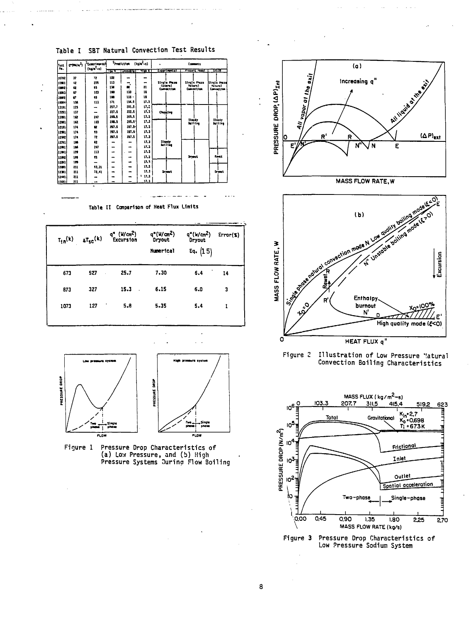







Figure 3 Pressure Drop Characteristics of Low Pressure Sodium System

Table I SBT Natural Convection Test Results

| <b>Test</b><br>м. | $T^{(m)}/r^2$ | <sup>3</sup> Experimental<br>$(10^{12}-1)$ | $(1/2 - 1)$<br>President |                 | Commett    |                                     |                                 |                                  |
|-------------------|---------------|--------------------------------------------|--------------------------|-----------------|------------|-------------------------------------|---------------------------------|----------------------------------|
|                   |               |                                            | ाटक                      | <b>TURKULAI</b> | प्रस्त र । | Experimental                        | Present meet                    | प्राप्त                          |
| 10722             | 37            | 72                                         | 102                      |                 | $\bullet$  |                                     |                                 |                                  |
| homa              | $\mathbf{u}$  | 209                                        | ш                        | ۰.              |            | <b>Single Plase</b>                 | Single Press                    | Steele Praze                     |
| <b>Items</b>      | Q             | 23                                         | 134                      |                 | 21         | <b>Gitaral</b><br><b>Cornection</b> | <b>Batural</b><br>Convection    | <b>Ratural</b><br>Connection     |
| luma              | U             | 103                                        | 160                      | 133             | n          |                                     |                                 |                                  |
| 10012             | ø             | 93                                         | 150                      | 133 -           | 18         |                                     |                                 |                                  |
| 10024             | 102           | 111                                        | 171                      | 154.9           | 17.3       |                                     |                                 |                                  |
| 13111             | 125           | -                                          | 207.7                    | 201.5           | 17.2       |                                     |                                 |                                  |
| hm                | 137           | -                                          | 227.5                    | 111.1           | 17.1       | Ougilag                             |                                 | <b>Streety</b><br><b>Battles</b> |
| ham               | 192           | 247                                        | 283.5                    | 245.5           | 11.3       |                                     |                                 |                                  |
| 12901             | 162           | 103                                        | 289.5                    | 265.5-          | 17,2       |                                     | <b>Itacis</b><br><b>Betting</b> |                                  |
| hann              | 174           |                                            | 287.5                    | $207.5 -$       | 17.3       |                                     |                                 |                                  |
| itan              | 174           | 93                                         | 77.5                     | 227.5           | 17.3       |                                     |                                 |                                  |
| ાશ્રમ             | 174           | 12                                         | 217.5                    | 71.1            | 17.3       |                                     |                                 |                                  |
| izm:              | 186           | 12                                         | -                        | -               | 17.1       | Standy                              |                                 |                                  |
| 12001             | 184           | 247                                        |                          |                 | 17.3       | tet11ae                             |                                 |                                  |
| humu              | m             | 113                                        | -                        |                 | 17.3       |                                     |                                 |                                  |
| liz prz           | 111           | n                                          | -                        | -               | 17.3       |                                     | Dryant,                         | <b>Rows</b>                      |
| 12241             | 199           | -                                          |                          |                 | 17.1       |                                     |                                 |                                  |
| haan              | m             | 17.31                                      |                          | $\blacksquare$  | 17.3       |                                     |                                 |                                  |
| 12311             | m             | 72.41                                      |                          |                 | 17.3       | <b>Drawit</b>                       |                                 | Grimat.                          |
| hzun              | 211           | $\bullet$                                  |                          |                 | $+17.3$    |                                     |                                 |                                  |
| 12031             | 211           |                                            |                          |                 | 17.3       |                                     |                                 |                                  |

Table II Comparison of Heat Flux Limits

| $T_{10}(k)$ | $_{\Delta T_{SC}}(k)$ | q" (W/cm <sup>2</sup> )<br>Excursion | $q''(W/m^2)$<br>Dryout<br>Numerical | $q''(w/cm^2)$<br>Dryout<br>Eq. (15) | Error(X) |
|-------------|-----------------------|--------------------------------------|-------------------------------------|-------------------------------------|----------|
| 673         | 527                   | 25.7                                 | 7,30                                | 5.4                                 | 14       |
| 873         | 327                   | 15.3                                 | 6.15                                | 6.0                                 | 3        |
| 1073        | 127                   | 5.8                                  | 5.35                                | 5.4                                 |          |
|             |                       |                                      |                                     |                                     |          |



Figure 1 Pressure Drop Characteristics of (a) Low Pressure, and (b) High<br>Pressure Systems Juring Flow Boiling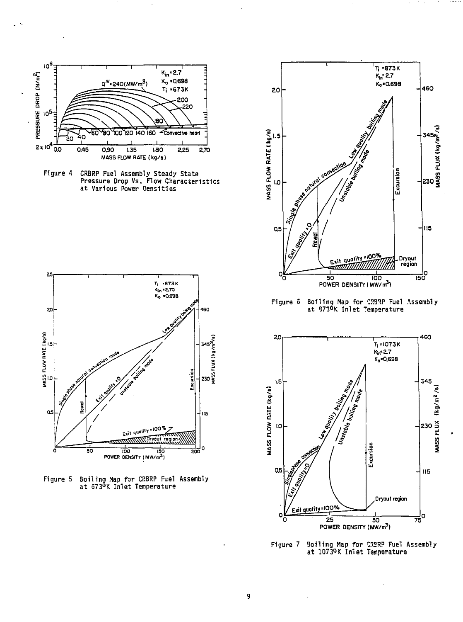

Figure 4 CRBRP Fuel Assembly Steady State Pressure Drop Vs. Flow Characteristics at Various Power Densities



Figure 5 Boiling Hap for CRBRP Fuel Assembly at 673°K Inlet Temperature



Figure 5 Boiling Hap for CRB^P Fuel Assembly at 373°K Inlet Temperature



Figure 7 Boiling Map for CRBRP Fuel Assembly at 1073°K Inlet Temperature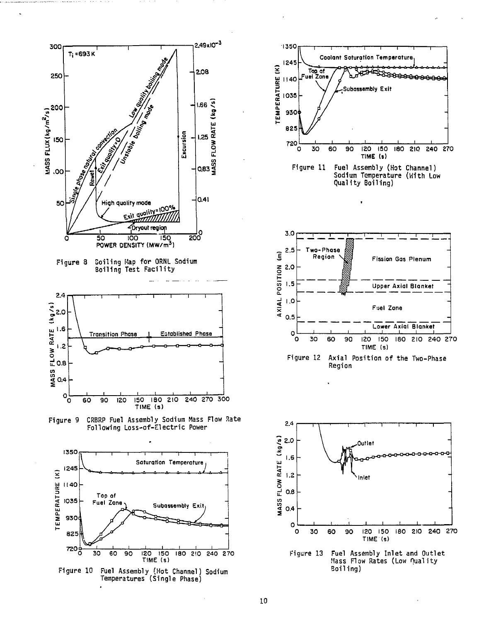